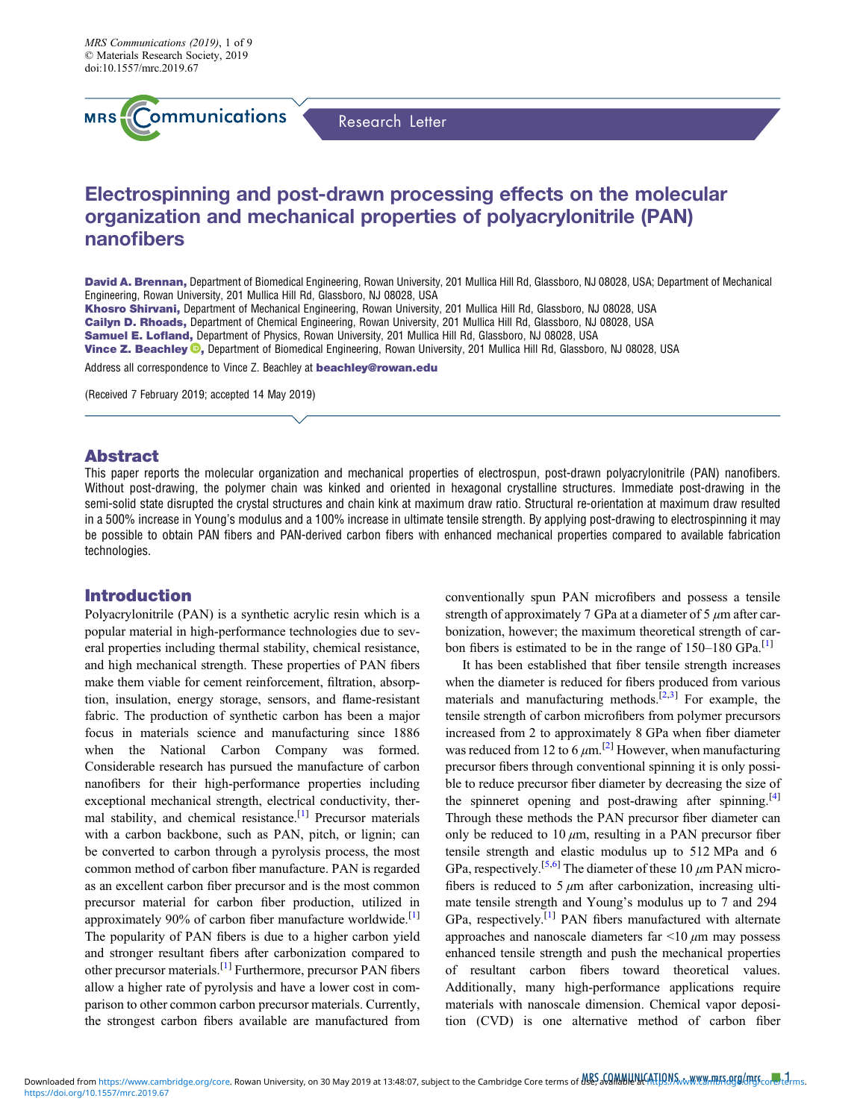

Research Letter

## Electrospinning and post-drawn processing effects on the molecular organization and mechanical properties of polyacrylonitrile (PAN) nanofibers

David A. Brennan, Department of Biomedical Engineering, Rowan University, 201 Mullica Hill Rd, Glassboro, NJ 08028, USA; Department of Mechanical Engineering, Rowan University, 201 Mullica Hill Rd, Glassboro, NJ 08028, USA Khosro Shirvani, Department of Mechanical Engineering, Rowan University, 201 Mullica Hill Rd, Glassboro, NJ 08028, USA Cailyn D. Rhoads, Department of Chemical Engineering, Rowan University, 201 Mullica Hill Rd, Glassboro, NJ 08028, USA Samuel E. Lofland, Department of Physics, Rowan University, 201 Mullica Hill Rd, Glassboro, NJ 08028, USA Vince Z. Beachley <sup>(D</sup>[,](https://orcid.org/0000-0002-8550-3103) Department of Biomedical Engineering, Rowan University, 201 Mullica Hill Rd, Glassboro, NJ 08028, USA

Address all correspondence to Vince Z. Beachley at **[beachley@rowan.edu](mailto:beachley@rowan.edu)** 

(Received 7 February 2019; accepted 14 May 2019)

## Abstract

This paper reports the molecular organization and mechanical properties of electrospun, post-drawn polyacrylonitrile (PAN) nanofibers. Without post-drawing, the polymer chain was kinked and oriented in hexagonal crystalline structures. Immediate post-drawing in the semi-solid state disrupted the crystal structures and chain kink at maximum draw ratio. Structural re-orientation at maximum draw resulted in a 500% increase in Young's modulus and a 100% increase in ultimate tensile strength. By applying post-drawing to electrospinning it may be possible to obtain PAN fibers and PAN-derived carbon fibers with enhanced mechanical properties compared to available fabrication technologies.

### Introduction

Polyacrylonitrile (PAN) is a synthetic acrylic resin which is a popular material in high-performance technologies due to several properties including thermal stability, chemical resistance, and high mechanical strength. These properties of PAN fibers make them viable for cement reinforcement, filtration, absorption, insulation, energy storage, sensors, and flame-resistant fabric. The production of synthetic carbon has been a major focus in materials science and manufacturing since 1886 when the National Carbon Company was formed. Considerable research has pursued the manufacture of carbon nanofibers for their high-performance properties including exceptional mechanical strength, electrical conductivity, thermal stability, and chemical resistance.[[1](#page-8-0)] Precursor materials with a carbon backbone, such as PAN, pitch, or lignin; can be converted to carbon through a pyrolysis process, the most common method of carbon fiber manufacture. PAN is regarded as an excellent carbon fiber precursor and is the most common precursor material for carbon fiber production, utilized in approximately 90% of carbon fiber manufacture worldwide.<sup>[\[1\]](#page-8-0)</sup> The popularity of PAN fibers is due to a higher carbon yield and stronger resultant fibers after carbonization compared to other precursor materials.<sup>[[1\]](#page-8-0)</sup> Furthermore, precursor PAN fibers allow a higher rate of pyrolysis and have a lower cost in comparison to other common carbon precursor materials. Currently, the strongest carbon fibers available are manufactured from conventionally spun PAN microfibers and possess a tensile strength of approximately 7 GPa at a diameter of 5  $\mu$ m after carbonization, however; the maximum theoretical strength of car-bon fibers is estimated to be in the range of 150–180 GPa.<sup>[[1\]](#page-8-0)</sup>

It has been established that fiber tensile strength increases when the diameter is reduced for fibers produced from various materials and manufacturing methods.<sup>[\[2,3](#page-8-0)]</sup> For example, the tensile strength of carbon microfibers from polymer precursors increased from 2 to approximately 8 GPa when fiber diameter was reduced from 12 to 6  $\mu$ m.<sup>[\[2\]](#page-8-0)</sup> However, when manufacturing precursor fibers through conventional spinning it is only possible to reduce precursor fiber diameter by decreasing the size of the spinneret opening and post-drawing after spinning. $[4]$ Through these methods the PAN precursor fiber diameter can only be reduced to 10  $\mu$ m, resulting in a PAN precursor fiber tensile strength and elastic modulus up to 512 MPa and 6 GPa, respectively.<sup>[\[5,6](#page-8-0)]</sup> The diameter of these 10  $\mu$ m PAN microfibers is reduced to 5  $\mu$ m after carbonization, increasing ultimate tensile strength and Young's modulus up to 7 and 294 GPa, respectively.[\[1\]](#page-8-0) PAN fibers manufactured with alternate approaches and nanoscale diameters far  $\leq 10 \mu$ m may possess enhanced tensile strength and push the mechanical properties of resultant carbon fibers toward theoretical values. Additionally, many high-performance applications require materials with nanoscale dimension. Chemical vapor deposition (CVD) is one alternative method of carbon fiber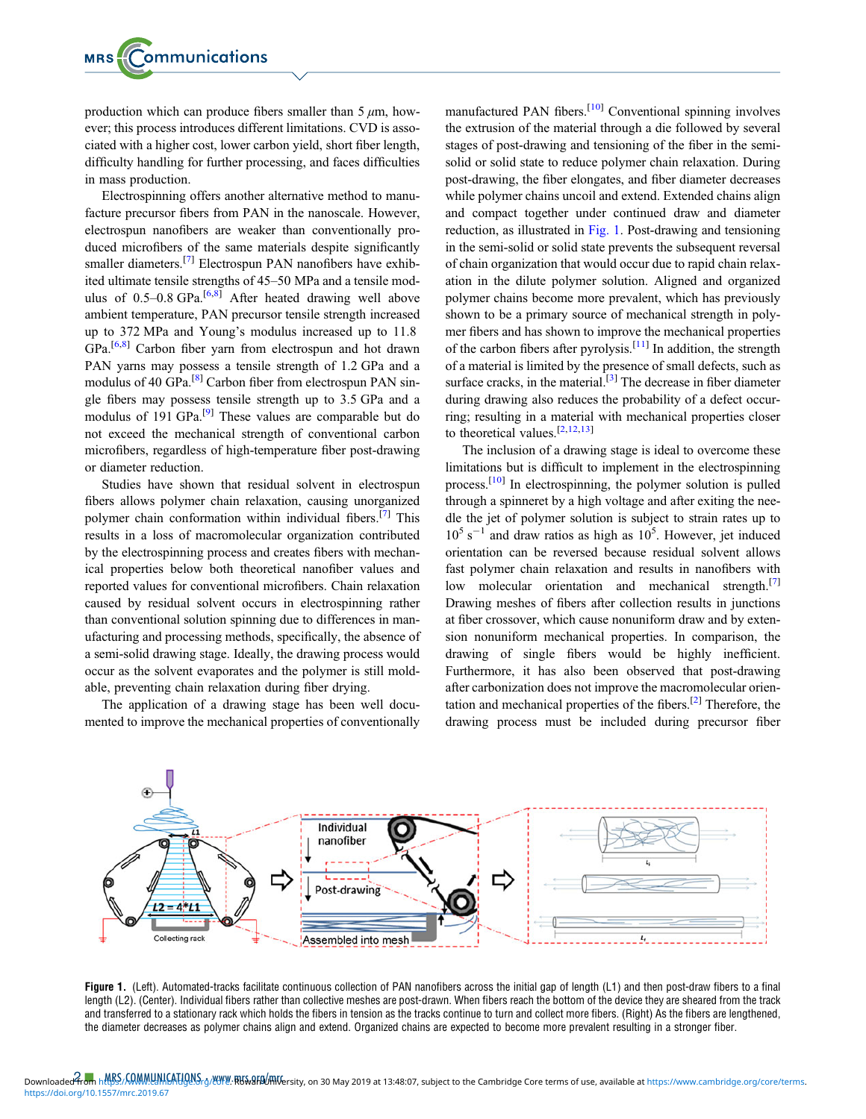<span id="page-1-0"></span>production which can produce fibers smaller than  $5 \mu m$ , however; this process introduces different limitations. CVD is associated with a higher cost, lower carbon yield, short fiber length, difficulty handling for further processing, and faces difficulties in mass production.

Electrospinning offers another alternative method to manufacture precursor fibers from PAN in the nanoscale. However, electrospun nanofibers are weaker than conventionally produced microfibers of the same materials despite significantly smaller diameters.<sup>[[7](#page-8-0)]</sup> Electrospun PAN nanofibers have exhibited ultimate tensile strengths of 45–50 MPa and a tensile mod-ulus of 0.5–0.8 GPa.<sup>[[6,8\]](#page-8-0)</sup> After heated drawing well above ambient temperature, PAN precursor tensile strength increased up to 372 MPa and Young's modulus increased up to 11.8 GPa.<sup>[[6,8\]](#page-8-0)</sup> Carbon fiber yarn from electrospun and hot drawn PAN yarns may possess a tensile strength of 1.2 GPa and a modulus of 40 GPa.<sup>[[8](#page-8-0)]</sup> Carbon fiber from electrospun PAN single fibers may possess tensile strength up to 3.5 GPa and a modulus of 191 GPa.<sup>[\[9\]](#page-8-0)</sup> These values are comparable but do not exceed the mechanical strength of conventional carbon microfibers, regardless of high-temperature fiber post-drawing or diameter reduction.

Studies have shown that residual solvent in electrospun fibers allows polymer chain relaxation, causing unorganized polymer chain conformation within individual fibers.<sup>[\[7\]](#page-8-0)</sup> This results in a loss of macromolecular organization contributed by the electrospinning process and creates fibers with mechanical properties below both theoretical nanofiber values and reported values for conventional microfibers. Chain relaxation caused by residual solvent occurs in electrospinning rather than conventional solution spinning due to differences in manufacturing and processing methods, specifically, the absence of a semi-solid drawing stage. Ideally, the drawing process would occur as the solvent evaporates and the polymer is still moldable, preventing chain relaxation during fiber drying.

The application of a drawing stage has been well documented to improve the mechanical properties of conventionally manufactured PAN fibers.<sup>[[10\]](#page-8-0)</sup> Conventional spinning involves the extrusion of the material through a die followed by several stages of post-drawing and tensioning of the fiber in the semisolid or solid state to reduce polymer chain relaxation. During post-drawing, the fiber elongates, and fiber diameter decreases while polymer chains uncoil and extend. Extended chains align and compact together under continued draw and diameter reduction, as illustrated in Fig. 1. Post-drawing and tensioning in the semi-solid or solid state prevents the subsequent reversal of chain organization that would occur due to rapid chain relaxation in the dilute polymer solution. Aligned and organized polymer chains become more prevalent, which has previously shown to be a primary source of mechanical strength in polymer fibers and has shown to improve the mechanical properties of the carbon fibers after pyrolysis.<sup>[[11\]](#page-8-0)</sup> In addition, the strength of a material is limited by the presence of small defects, such as surface cracks, in the material.<sup>[[3](#page-8-0)]</sup> The decrease in fiber diameter during drawing also reduces the probability of a defect occurring; resulting in a material with mechanical properties closer to theoretical values.<sup>[\[2,12,13\]](#page-8-0)</sup>

The inclusion of a drawing stage is ideal to overcome these limitations but is difficult to implement in the electrospinning process.<sup>[[10\]](#page-8-0)</sup> In electrospinning, the polymer solution is pulled through a spinneret by a high voltage and after exiting the needle the jet of polymer solution is subject to strain rates up to  $10<sup>5</sup>$  s<sup>-1</sup> and draw ratios as high as  $10<sup>5</sup>$ . However, jet induced orientation can be reversed because residual solvent allows fast polymer chain relaxation and results in nanofibers with low molecular orientation and mechanical strength.<sup>[\[7\]](#page-8-0)</sup> Drawing meshes of fibers after collection results in junctions at fiber crossover, which cause nonuniform draw and by extension nonuniform mechanical properties. In comparison, the drawing of single fibers would be highly inefficient. Furthermore, it has also been observed that post-drawing after carbonization does not improve the macromolecular orien-tation and mechanical properties of the fibers.<sup>[\[2\]](#page-8-0)</sup> Therefore, the drawing process must be included during precursor fiber



Figure 1. (Left). Automated-tracks facilitate continuous collection of PAN nanofibers across the initial gap of length (L1) and then post-draw fibers to a final length (L2). (Center). Individual fibers rather than collective meshes are post-drawn. When fibers reach the bottom of the device they are sheared from the track and transferred to a stationary rack which holds the fibers in tension as the tracks continue to turn and collect more fibers. (Right) As the fibers are lengthened, the diameter decreases as polymer chains align and extend. Organized chains are expected to become more prevalent resulting in a stronger fiber.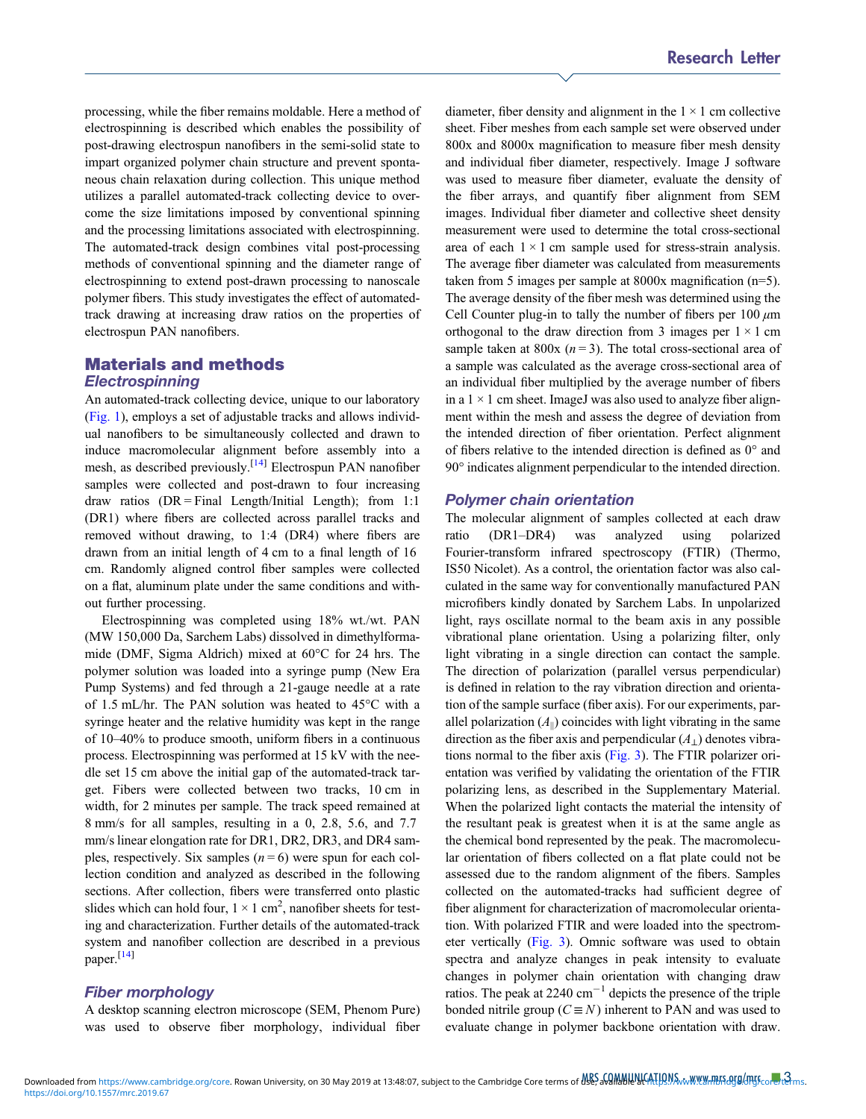processing, while the fiber remains moldable. Here a method of electrospinning is described which enables the possibility of post-drawing electrospun nanofibers in the semi-solid state to impart organized polymer chain structure and prevent spontaneous chain relaxation during collection. This unique method utilizes a parallel automated-track collecting device to overcome the size limitations imposed by conventional spinning and the processing limitations associated with electrospinning. The automated-track design combines vital post-processing methods of conventional spinning and the diameter range of electrospinning to extend post-drawn processing to nanoscale polymer fibers. This study investigates the effect of automatedtrack drawing at increasing draw ratios on the properties of electrospun PAN nanofibers.

# Materials and methods

Electrospinning An automated-track collecting device, unique to our laboratory [\(Fig. 1](#page-1-0)), employs a set of adjustable tracks and allows individual nanofibers to be simultaneously collected and drawn to induce macromolecular alignment before assembly into a mesh, as described previously.<sup>[\[14](#page-8-0)]</sup> Electrospun PAN nanofiber samples were collected and post-drawn to four increasing draw ratios (DR = Final Length/Initial Length); from 1:1 (DR1) where fibers are collected across parallel tracks and removed without drawing, to 1:4 (DR4) where fibers are drawn from an initial length of 4 cm to a final length of 16 cm. Randomly aligned control fiber samples were collected on a flat, aluminum plate under the same conditions and without further processing.

Electrospinning was completed using 18% wt./wt. PAN (MW 150,000 Da, Sarchem Labs) dissolved in dimethylformamide (DMF, Sigma Aldrich) mixed at 60°C for 24 hrs. The polymer solution was loaded into a syringe pump (New Era Pump Systems) and fed through a 21-gauge needle at a rate of 1.5 mL/hr. The PAN solution was heated to 45°C with a syringe heater and the relative humidity was kept in the range of 10–40% to produce smooth, uniform fibers in a continuous process. Electrospinning was performed at 15 kV with the needle set 15 cm above the initial gap of the automated-track target. Fibers were collected between two tracks, 10 cm in width, for 2 minutes per sample. The track speed remained at 8 mm/s for all samples, resulting in a 0, 2.8, 5.6, and 7.7 mm/s linear elongation rate for DR1, DR2, DR3, and DR4 samples, respectively. Six samples  $(n=6)$  were spun for each collection condition and analyzed as described in the following sections. After collection, fibers were transferred onto plastic slides which can hold four,  $1 \times 1$  cm<sup>2</sup>, nanofiber sheets for testing and characterization. Further details of the automated-track system and nanofiber collection are described in a previous paper.<sup>[[14\]](#page-8-0)</sup>

A desktop scanning electron microscope (SEM, Phenom Pure) was used to observe fiber morphology, individual fiber diameter, fiber density and alignment in the  $1 \times 1$  cm collective sheet. Fiber meshes from each sample set were observed under 800x and 8000x magnification to measure fiber mesh density and individual fiber diameter, respectively. Image J software was used to measure fiber diameter, evaluate the density of the fiber arrays, and quantify fiber alignment from SEM images. Individual fiber diameter and collective sheet density measurement were used to determine the total cross-sectional area of each  $1 \times 1$  cm sample used for stress-strain analysis. The average fiber diameter was calculated from measurements taken from 5 images per sample at 8000x magnification (n=5). The average density of the fiber mesh was determined using the Cell Counter plug-in to tally the number of fibers per  $100 \mu m$ orthogonal to the draw direction from 3 images per  $1 \times 1$  cm sample taken at 800x ( $n = 3$ ). The total cross-sectional area of a sample was calculated as the average cross-sectional area of an individual fiber multiplied by the average number of fibers in a  $1 \times 1$  cm sheet. ImageJ was also used to analyze fiber alignment within the mesh and assess the degree of deviation from the intended direction of fiber orientation. Perfect alignment of fibers relative to the intended direction is defined as 0° and 90° indicates alignment perpendicular to the intended direction.

The molecular alignment of samples collected at each draw ratio (DR1–DR4) was analyzed using polarized Fourier-transform infrared spectroscopy (FTIR) (Thermo, IS50 Nicolet). As a control, the orientation factor was also calculated in the same way for conventionally manufactured PAN microfibers kindly donated by Sarchem Labs. In unpolarized light, rays oscillate normal to the beam axis in any possible vibrational plane orientation. Using a polarizing filter, only light vibrating in a single direction can contact the sample. The direction of polarization (parallel versus perpendicular) is defined in relation to the ray vibration direction and orientation of the sample surface (fiber axis). For our experiments, parallel polarization  $(A_{\parallel})$  coincides with light vibrating in the same direction as the fiber axis and perpendicular  $(A<sub>⊥</sub>)$  denotes vibrations normal to the fiber axis [\(Fig. 3\)](#page-5-0). The FTIR polarizer orientation was verified by validating the orientation of the FTIR polarizing lens, as described in the Supplementary Material. When the polarized light contacts the material the intensity of the resultant peak is greatest when it is at the same angle as the chemical bond represented by the peak. The macromolecular orientation of fibers collected on a flat plate could not be assessed due to the random alignment of the fibers. Samples collected on the automated-tracks had sufficient degree of fiber alignment for characterization of macromolecular orientation. With polarized FTIR and were loaded into the spectrometer vertically ([Fig. 3](#page-5-0)). Omnic software was used to obtain spectra and analyze changes in peak intensity to evaluate changes in polymer chain orientation with changing draw ratios. The peak at 2240 cm−<sup>1</sup> depicts the presence of the triple bonded nitrile group ( $C \equiv N$ ) inherent to PAN and was used to evaluate change in polymer backbone orientation with draw.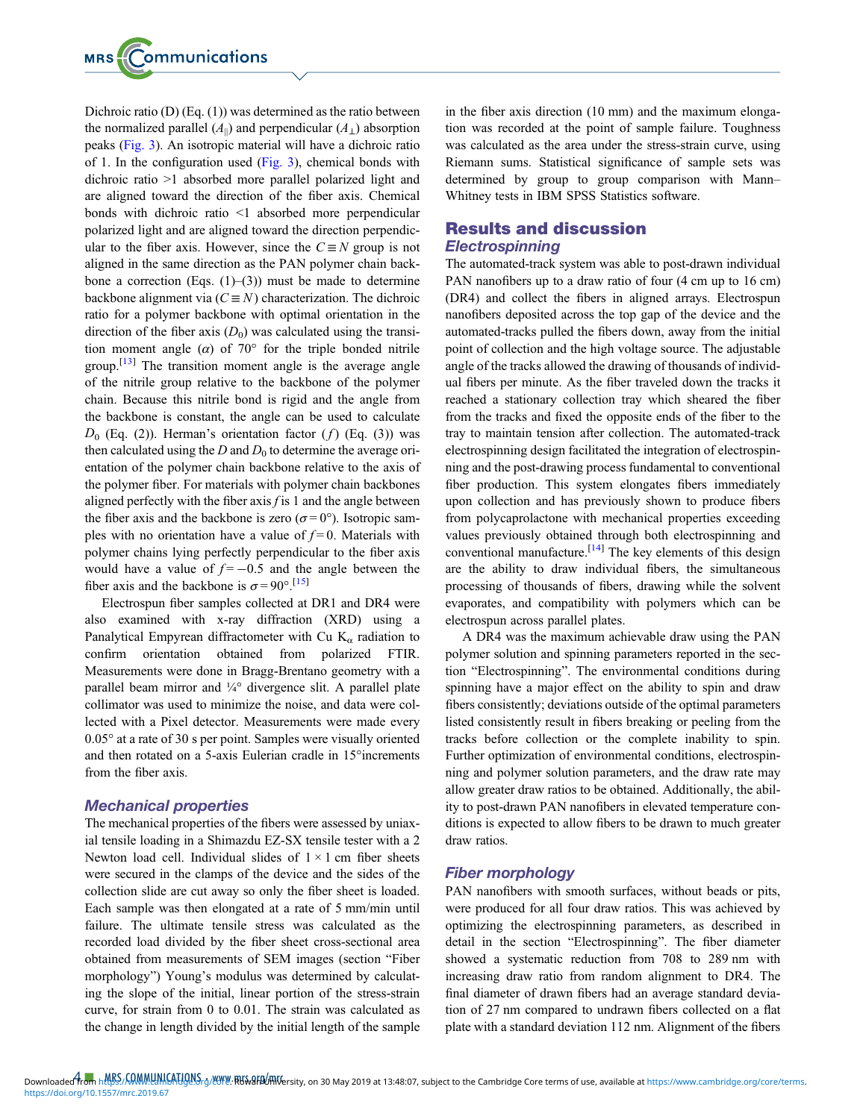Dichroic ratio (D) (Eq. (1)) was determined as the ratio between the normalized parallel ( $A_{\parallel}$ ) and perpendicular ( $A_{\perp}$ ) absorption peaks [\(Fig. 3\)](#page-5-0). An isotropic material will have a dichroic ratio of 1. In the configuration used [\(Fig. 3](#page-5-0)), chemical bonds with dichroic ratio >1 absorbed more parallel polarized light and are aligned toward the direction of the fiber axis. Chemical bonds with dichroic ratio <1 absorbed more perpendicular polarized light and are aligned toward the direction perpendicular to the fiber axis. However, since the  $C \equiv N$  group is not aligned in the same direction as the PAN polymer chain backbone a correction (Eqs.  $(1)$ – $(3)$ ) must be made to determine backbone alignment via  $(C \equiv N)$  characterization. The dichroic ratio for a polymer backbone with optimal orientation in the direction of the fiber axis  $(D_0)$  was calculated using the transition moment angle  $(\alpha)$  of 70° for the triple bonded nitrile group. $\left[13\right]$  The transition moment angle is the average angle of the nitrile group relative to the backbone of the polymer chain. Because this nitrile bond is rigid and the angle from the backbone is constant, the angle can be used to calculate  $D_0$  (Eq. (2)). Herman's orientation factor (f) (Eq. (3)) was then calculated using the  $D$  and  $D_0$  to determine the average orientation of the polymer chain backbone relative to the axis of the polymer fiber. For materials with polymer chain backbones aligned perfectly with the fiber axis  $f$  is 1 and the angle between the fiber axis and the backbone is zero ( $\sigma = 0^{\circ}$ ). Isotropic samples with no orientation have a value of  $f = 0$ . Materials with polymer chains lying perfectly perpendicular to the fiber axis would have a value of  $f = -0.5$  and the angle between the fiber axis and the backbone is  $\sigma = 90^{\circ}$ . [\[15](#page-8-0)]

Electrospun fiber samples collected at DR1 and DR4 were also examined with x-ray diffraction (XRD) using a Panalytical Empyrean diffractometer with Cu  $K_{\alpha}$  radiation to confirm orientation obtained from polarized FTIR. Measurements were done in Bragg-Brentano geometry with a parallel beam mirror and ¼° divergence slit. A parallel plate collimator was used to minimize the noise, and data were collected with a Pixel detector. Measurements were made every 0.05° at a rate of 30 s per point. Samples were visually oriented and then rotated on a 5-axis Eulerian cradle in 15°increments from the fiber axis.

The mechanical properties of the fibers were assessed by uniaxial tensile loading in a Shimazdu EZ-SX tensile tester with a 2 Newton load cell. Individual slides of  $1 \times 1$  cm fiber sheets were secured in the clamps of the device and the sides of the collection slide are cut away so only the fiber sheet is loaded. Each sample was then elongated at a rate of 5 mm/min until failure. The ultimate tensile stress was calculated as the recorded load divided by the fiber sheet cross-sectional area obtained from measurements of SEM images (section "Fiber morphology") Young's modulus was determined by calculating the slope of the initial, linear portion of the stress-strain curve, for strain from 0 to 0.01. The strain was calculated as the change in length divided by the initial length of the sample in the fiber axis direction (10 mm) and the maximum elongation was recorded at the point of sample failure. Toughness was calculated as the area under the stress-strain curve, using Riemann sums. Statistical significance of sample sets was determined by group to group comparison with Mann– Whitney tests in IBM SPSS Statistics software.

## Results and discussion

The automated-track system was able to post-drawn individual PAN nanofibers up to a draw ratio of four  $(4 \text{ cm }$  up to  $16 \text{ cm})$ (DR4) and collect the fibers in aligned arrays. Electrospun nanofibers deposited across the top gap of the device and the automated-tracks pulled the fibers down, away from the initial point of collection and the high voltage source. The adjustable angle of the tracks allowed the drawing of thousands of individual fibers per minute. As the fiber traveled down the tracks it reached a stationary collection tray which sheared the fiber from the tracks and fixed the opposite ends of the fiber to the tray to maintain tension after collection. The automated-track electrospinning design facilitated the integration of electrospinning and the post-drawing process fundamental to conventional fiber production. This system elongates fibers immediately upon collection and has previously shown to produce fibers from polycaprolactone with mechanical properties exceeding values previously obtained through both electrospinning and conventional manufacture.<sup>[[14](#page-8-0)]</sup> The key elements of this design are the ability to draw individual fibers, the simultaneous processing of thousands of fibers, drawing while the solvent evaporates, and compatibility with polymers which can be electrospun across parallel plates.

A DR4 was the maximum achievable draw using the PAN polymer solution and spinning parameters reported in the section "Electrospinning". The environmental conditions during spinning have a major effect on the ability to spin and draw fibers consistently; deviations outside of the optimal parameters listed consistently result in fibers breaking or peeling from the tracks before collection or the complete inability to spin. Further optimization of environmental conditions, electrospinning and polymer solution parameters, and the draw rate may allow greater draw ratios to be obtained. Additionally, the ability to post-drawn PAN nanofibers in elevated temperature conditions is expected to allow fibers to be drawn to much greater draw ratios.

PAN nanofibers with smooth surfaces, without beads or pits, were produced for all four draw ratios. This was achieved by optimizing the electrospinning parameters, as described in detail in the section "Electrospinning". The fiber diameter showed a systematic reduction from 708 to 289 nm with increasing draw ratio from random alignment to DR4. The final diameter of drawn fibers had an average standard deviation of 27 nm compared to undrawn fibers collected on a flat plate with a standard deviation 112 nm. Alignment of the fibers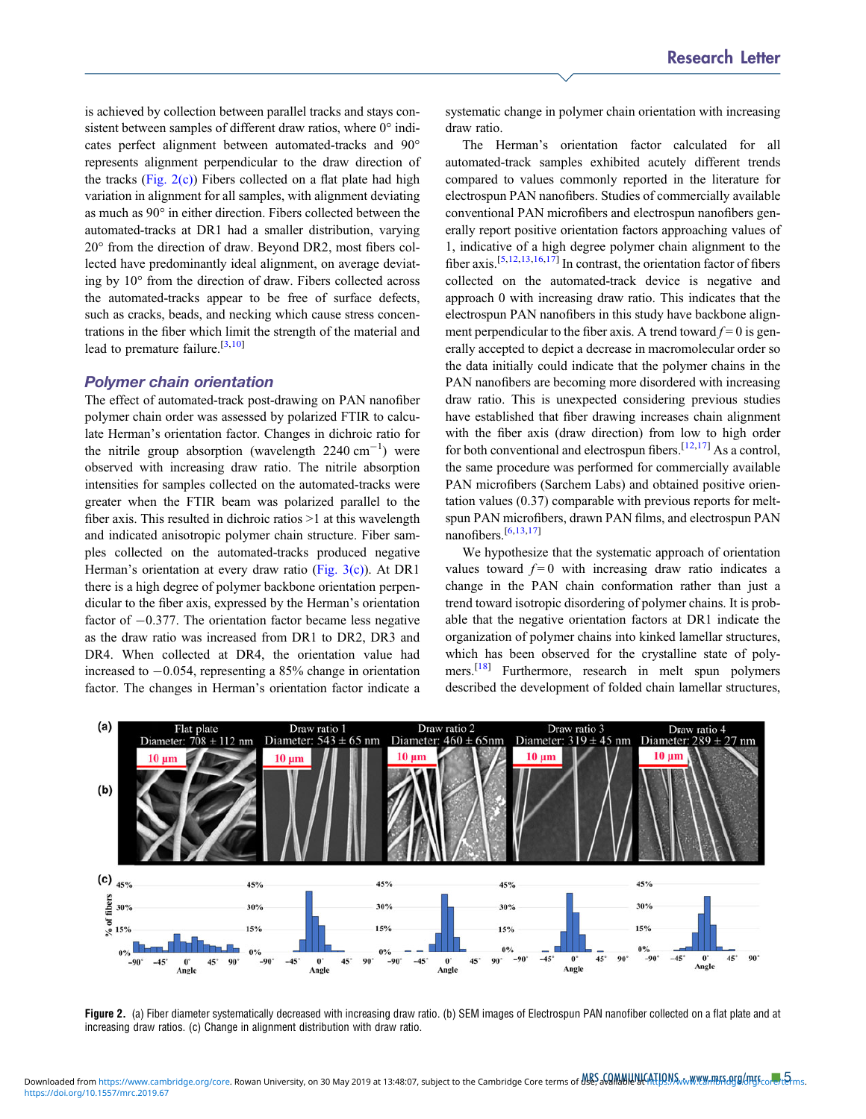is achieved by collection between parallel tracks and stays consistent between samples of different draw ratios, where  $0^{\circ}$  indicates perfect alignment between automated-tracks and 90° represents alignment perpendicular to the draw direction of the tracks (Fig.  $2(c)$ ) Fibers collected on a flat plate had high variation in alignment for all samples, with alignment deviating as much as 90° in either direction. Fibers collected between the automated-tracks at DR1 had a smaller distribution, varying 20° from the direction of draw. Beyond DR2, most fibers collected have predominantly ideal alignment, on average deviating by 10° from the direction of draw. Fibers collected across the automated-tracks appear to be free of surface defects, such as cracks, beads, and necking which cause stress concentrations in the fiber which limit the strength of the material and lead to premature failure.<sup>[\[3,10\]](#page-8-0)</sup>

The effect of automated-track post-drawing on PAN nanofiber polymer chain order was assessed by polarized FTIR to calculate Herman's orientation factor. Changes in dichroic ratio for the nitrile group absorption (wavelength  $2240 \text{ cm}^{-1}$ ) were observed with increasing draw ratio. The nitrile absorption intensities for samples collected on the automated-tracks were greater when the FTIR beam was polarized parallel to the fiber axis. This resulted in dichroic ratios >1 at this wavelength and indicated anisotropic polymer chain structure. Fiber samples collected on the automated-tracks produced negative Herman's orientation at every draw ratio [\(Fig. 3\(c\)](#page-5-0)). At DR1 there is a high degree of polymer backbone orientation perpendicular to the fiber axis, expressed by the Herman's orientation factor of −0.377. The orientation factor became less negative as the draw ratio was increased from DR1 to DR2, DR3 and DR4. When collected at DR4, the orientation value had increased to −0.054, representing a 85% change in orientation factor. The changes in Herman's orientation factor indicate a systematic change in polymer chain orientation with increasing draw ratio.

The Herman's orientation factor calculated for all automated-track samples exhibited acutely different trends compared to values commonly reported in the literature for electrospun PAN nanofibers. Studies of commercially available conventional PAN microfibers and electrospun nanofibers generally report positive orientation factors approaching values of 1, indicative of a high degree polymer chain alignment to the fiber axis.<sup>[\[5,12,13,16,17](#page-8-0)]</sup> In contrast, the orientation factor of fibers collected on the automated-track device is negative and approach 0 with increasing draw ratio. This indicates that the electrospun PAN nanofibers in this study have backbone alignment perpendicular to the fiber axis. A trend toward  $f = 0$  is generally accepted to depict a decrease in macromolecular order so the data initially could indicate that the polymer chains in the PAN nanofibers are becoming more disordered with increasing draw ratio. This is unexpected considering previous studies have established that fiber drawing increases chain alignment with the fiber axis (draw direction) from low to high order for both conventional and electrospun fibers.<sup>[\[12,17](#page-8-0)]</sup> As a control, the same procedure was performed for commercially available PAN microfibers (Sarchem Labs) and obtained positive orientation values (0.37) comparable with previous reports for meltspun PAN microfibers, drawn PAN films, and electrospun PAN nanofibers.[\[6,13,17](#page-8-0)]

We hypothesize that the systematic approach of orientation values toward  $f = 0$  with increasing draw ratio indicates a change in the PAN chain conformation rather than just a trend toward isotropic disordering of polymer chains. It is probable that the negative orientation factors at DR1 indicate the organization of polymer chains into kinked lamellar structures, which has been observed for the crystalline state of polymers.[[18](#page-8-0)] Furthermore, research in melt spun polymers described the development of folded chain lamellar structures,



Figure 2. (a) Fiber diameter systematically decreased with increasing draw ratio. (b) SEM images of Electrospun PAN nanofiber collected on a flat plate and at increasing draw ratios. (c) Change in alignment distribution with draw ratio.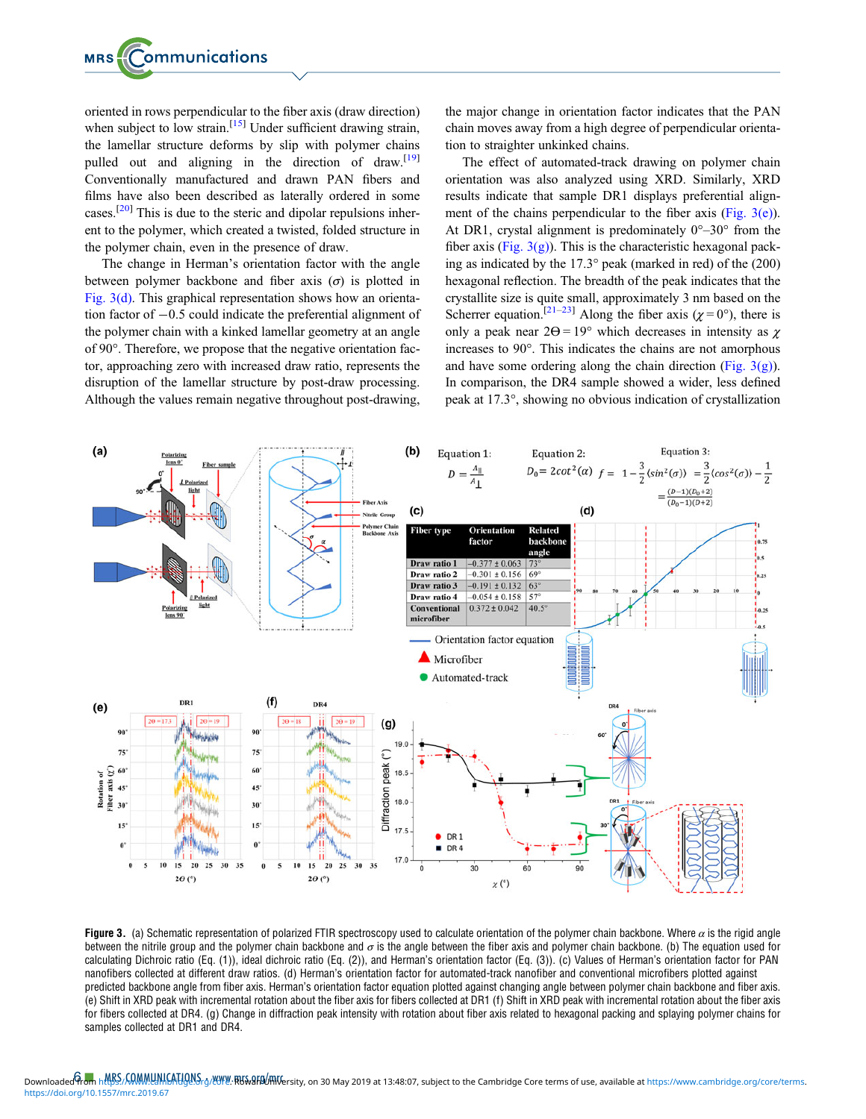<span id="page-5-0"></span>oriented in rows perpendicular to the fiber axis (draw direction) when subject to low strain.<sup>[[15\]](#page-8-0)</sup> Under sufficient drawing strain, the lamellar structure deforms by slip with polymer chains pulled out and aligning in the direction of draw.<sup>[[19\]](#page-8-0)</sup> Conventionally manufactured and drawn PAN fibers and films have also been described as laterally ordered in some cases.<sup>[[20\]](#page-8-0)</sup> This is due to the steric and dipolar repulsions inherent to the polymer, which created a twisted, folded structure in the polymer chain, even in the presence of draw.

The change in Herman's orientation factor with the angle between polymer backbone and fiber axis  $(\sigma)$  is plotted in Fig. 3(d). This graphical representation shows how an orientation factor of −0.5 could indicate the preferential alignment of the polymer chain with a kinked lamellar geometry at an angle of 90°. Therefore, we propose that the negative orientation factor, approaching zero with increased draw ratio, represents the disruption of the lamellar structure by post-draw processing. Although the values remain negative throughout post-drawing, the major change in orientation factor indicates that the PAN chain moves away from a high degree of perpendicular orientation to straighter unkinked chains.

The effect of automated-track drawing on polymer chain orientation was also analyzed using XRD. Similarly, XRD results indicate that sample DR1 displays preferential alignment of the chains perpendicular to the fiber axis (Fig.  $3(e)$ ). At DR1, crystal alignment is predominately  $0^{\circ}-30^{\circ}$  from the fiber axis (Fig.  $3(g)$ ). This is the characteristic hexagonal packing as indicated by the 17.3° peak (marked in red) of the (200) hexagonal reflection. The breadth of the peak indicates that the crystallite size is quite small, approximately 3 nm based on the Scherrer equation.<sup>[[21](#page-8-0)–[23\]](#page-8-0)</sup> Along the fiber axis ( $\chi$  = 0°), there is only a peak near  $2\Theta = 19^{\circ}$  which decreases in intensity as  $\gamma$ increases to 90°. This indicates the chains are not amorphous and have some ordering along the chain direction (Fig.  $3(g)$ ). In comparison, the DR4 sample showed a wider, less defined peak at 17.3°, showing no obvious indication of crystallization



Figure 3. (a) Schematic representation of polarized FTIR spectroscopy used to calculate orientation of the polymer chain backbone. Where  $\alpha$  is the rigid angle between the nitrile group and the polymer chain backbone and  $\sigma$  is the angle between the fiber axis and polymer chain backbone. (b) The equation used for calculating Dichroic ratio (Eq. (1)), ideal dichroic ratio (Eq. (2)), and Herman's orientation factor (Eq. (3)). (c) Values of Herman's orientation factor for PAN nanofibers collected at different draw ratios. (d) Herman's orientation factor for automated-track nanofiber and conventional microfibers plotted against predicted backbone angle from fiber axis. Herman's orientation factor equation plotted against changing angle between polymer chain backbone and fiber axis. (e) Shift in XRD peak with incremental rotation about the fiber axis for fibers collected at DR1 (f) Shift in XRD peak with incremental rotation about the fiber axis for fibers collected at DR4. (g) Change in diffraction peak intensity with rotation about fiber axis related to hexagonal packing and splaying polymer chains for samples collected at DR1 and DR4.

Downloaded&.om<br>https://doi.org/10.1557/mrc.2019.67<br>https://doi.org/10.1557/mrc.2019.67 <https://doi.org/10.1557/mrc.2019.67>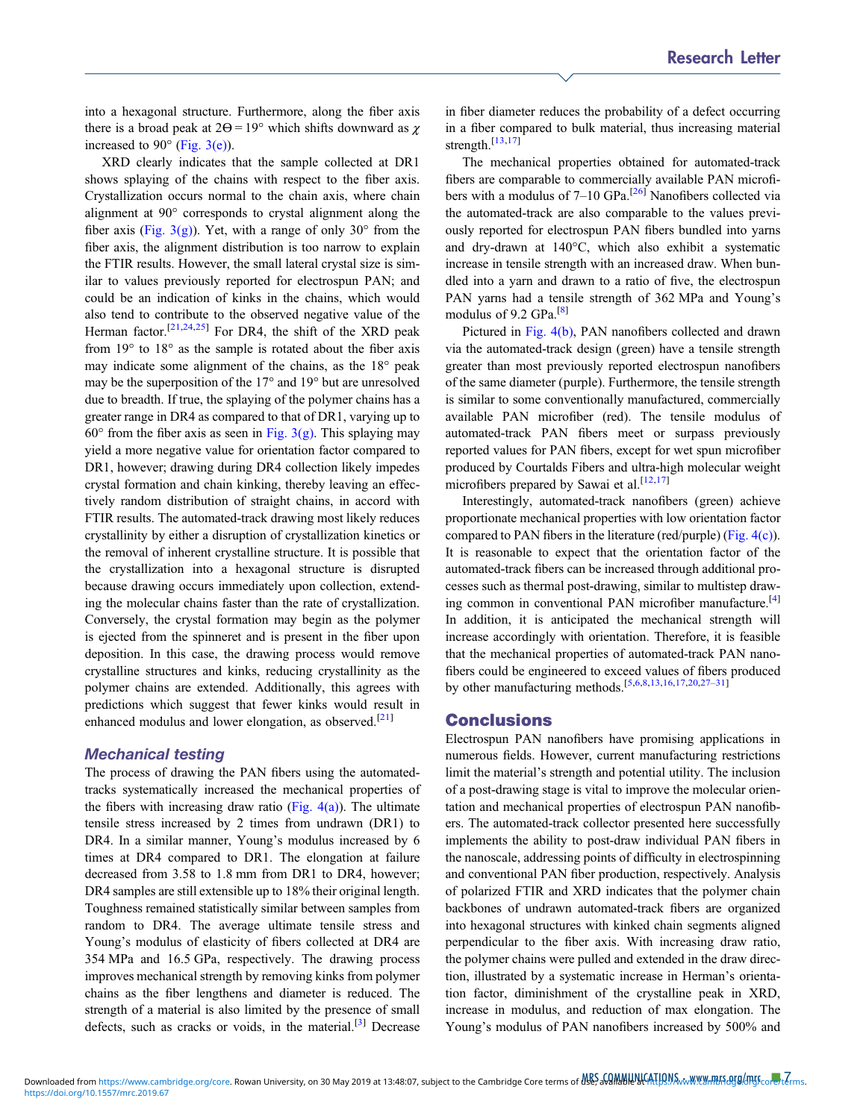into a hexagonal structure. Furthermore, along the fiber axis there is a broad peak at  $2\Theta = 19^{\circ}$  which shifts downward as  $\chi$ increased to 90 $^{\circ}$  ([Fig. 3\(e\)](#page-5-0)).

XRD clearly indicates that the sample collected at DR1 shows splaying of the chains with respect to the fiber axis. Crystallization occurs normal to the chain axis, where chain alignment at 90° corresponds to crystal alignment along the fiber axis [\(Fig. 3\(g\)](#page-5-0)). Yet, with a range of only  $30^{\circ}$  from the fiber axis, the alignment distribution is too narrow to explain the FTIR results. However, the small lateral crystal size is similar to values previously reported for electrospun PAN; and could be an indication of kinks in the chains, which would also tend to contribute to the observed negative value of the Herman factor.<sup>[[21,24,25](#page-8-0)]</sup> For DR4, the shift of the XRD peak from 19° to 18° as the sample is rotated about the fiber axis may indicate some alignment of the chains, as the 18° peak may be the superposition of the 17° and 19° but are unresolved due to breadth. If true, the splaying of the polymer chains has a greater range in DR4 as compared to that of DR1, varying up to  $60^\circ$  from the fiber axis as seen in [Fig. 3\(g\).](#page-5-0) This splaying may yield a more negative value for orientation factor compared to DR1, however; drawing during DR4 collection likely impedes crystal formation and chain kinking, thereby leaving an effectively random distribution of straight chains, in accord with FTIR results. The automated-track drawing most likely reduces crystallinity by either a disruption of crystallization kinetics or the removal of inherent crystalline structure. It is possible that the crystallization into a hexagonal structure is disrupted because drawing occurs immediately upon collection, extending the molecular chains faster than the rate of crystallization. Conversely, the crystal formation may begin as the polymer is ejected from the spinneret and is present in the fiber upon deposition. In this case, the drawing process would remove crystalline structures and kinks, reducing crystallinity as the polymer chains are extended. Additionally, this agrees with predictions which suggest that fewer kinks would result in enhanced modulus and lower elongation, as observed.<sup>[[21\]](#page-8-0)</sup>

The process of drawing the PAN fibers using the automatedtracks systematically increased the mechanical properties of the fibers with increasing draw ratio (Fig.  $4(a)$ ). The ultimate tensile stress increased by 2 times from undrawn (DR1) to DR4. In a similar manner, Young's modulus increased by 6 times at DR4 compared to DR1. The elongation at failure decreased from 3.58 to 1.8 mm from DR1 to DR4, however; DR4 samples are still extensible up to 18% their original length. Toughness remained statistically similar between samples from random to DR4. The average ultimate tensile stress and Young's modulus of elasticity of fibers collected at DR4 are 354 MPa and 16.5 GPa, respectively. The drawing process improves mechanical strength by removing kinks from polymer chains as the fiber lengthens and diameter is reduced. The strength of a material is also limited by the presence of small defects, such as cracks or voids, in the material.<sup>[\[3\]](#page-8-0)</sup> Decrease in fiber diameter reduces the probability of a defect occurring in a fiber compared to bulk material, thus increasing material strength.[[13,17\]](#page-8-0)

The mechanical properties obtained for automated-track fibers are comparable to commercially available PAN microfibers with a modulus of  $7-10$  GPa.<sup>[[26\]](#page-8-0)</sup> Nanofibers collected via the automated-track are also comparable to the values previously reported for electrospun PAN fibers bundled into yarns and dry-drawn at 140°C, which also exhibit a systematic increase in tensile strength with an increased draw. When bundled into a yarn and drawn to a ratio of five, the electrospun PAN yarns had a tensile strength of 362 MPa and Young's modulus of 9.2 GPa. $^{[8]}$  $^{[8]}$  $^{[8]}$ 

Pictured in [Fig. 4\(b\)](#page-7-0), PAN nanofibers collected and drawn via the automated-track design (green) have a tensile strength greater than most previously reported electrospun nanofibers of the same diameter (purple). Furthermore, the tensile strength is similar to some conventionally manufactured, commercially available PAN microfiber (red). The tensile modulus of automated-track PAN fibers meet or surpass previously reported values for PAN fibers, except for wet spun microfiber produced by Courtalds Fibers and ultra-high molecular weight microfibers prepared by Sawai et al.  $[12, 17]$ 

Interestingly, automated-track nanofibers (green) achieve proportionate mechanical properties with low orientation factor compared to PAN fibers in the literature (red/purple) ([Fig. 4\(c\)\)](#page-7-0). It is reasonable to expect that the orientation factor of the automated-track fibers can be increased through additional processes such as thermal post-drawing, similar to multistep draw-ing common in conventional PAN microfiber manufacture.<sup>[\[4\]](#page-8-0)</sup> In addition, it is anticipated the mechanical strength will increase accordingly with orientation. Therefore, it is feasible that the mechanical properties of automated-track PAN nanofibers could be engineered to exceed values of fibers produced by other manufacturing methods.[[5,6,8](#page-8-0),[13,16,17,20,27](#page-8-0)–[31](#page-8-0)]

### **Conclusions**

Electrospun PAN nanofibers have promising applications in numerous fields. However, current manufacturing restrictions limit the material's strength and potential utility. The inclusion of a post-drawing stage is vital to improve the molecular orientation and mechanical properties of electrospun PAN nanofibers. The automated-track collector presented here successfully implements the ability to post-draw individual PAN fibers in the nanoscale, addressing points of difficulty in electrospinning and conventional PAN fiber production, respectively. Analysis of polarized FTIR and XRD indicates that the polymer chain backbones of undrawn automated-track fibers are organized into hexagonal structures with kinked chain segments aligned perpendicular to the fiber axis. With increasing draw ratio, the polymer chains were pulled and extended in the draw direction, illustrated by a systematic increase in Herman's orientation factor, diminishment of the crystalline peak in XRD, increase in modulus, and reduction of max elongation. The Young's modulus of PAN nanofibers increased by 500% and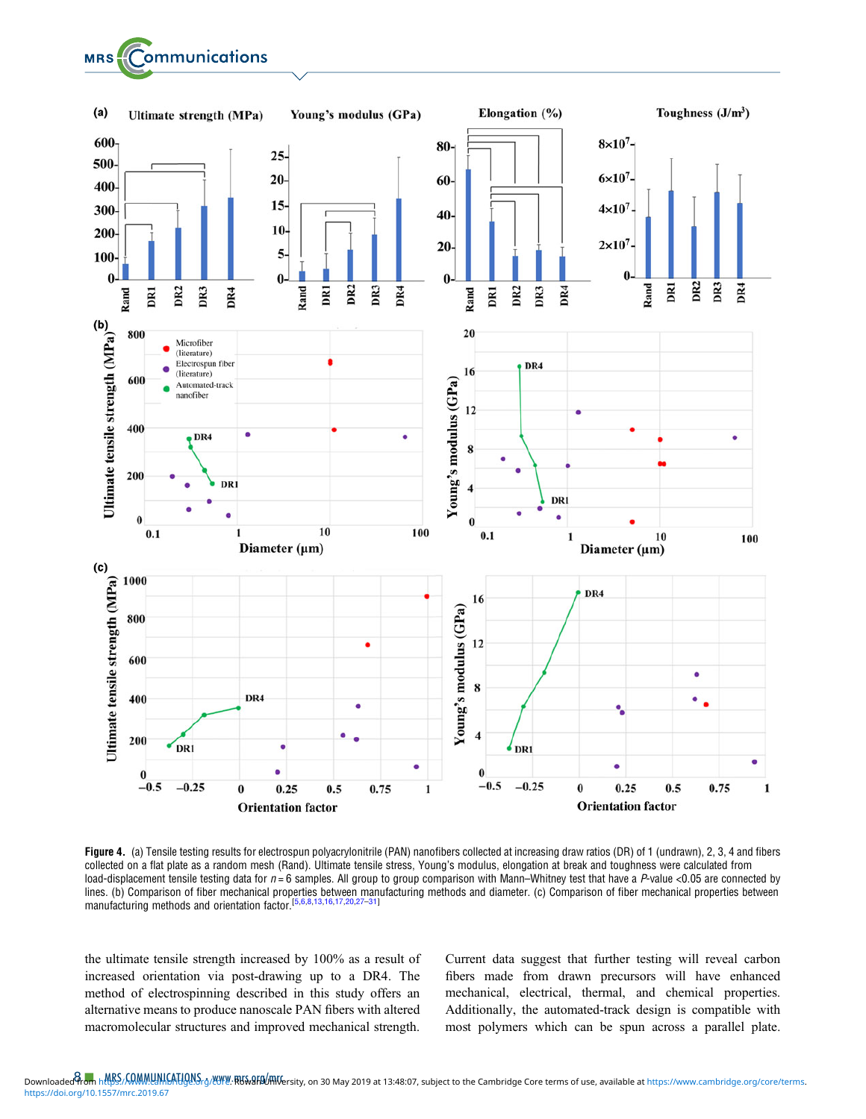<span id="page-7-0"></span>



Figure 4. (a) Tensile testing results for electrospun polyacrylonitrile (PAN) nanofibers collected at increasing draw ratios (DR) of 1 (undrawn), 2, 3, 4 and fibers collected on a flat plate as a random mesh (Rand). Ultimate tensile stress, Young's modulus, elongation at break and toughness were calculated from load-displacement tensile testing data for  $n = 6$  samples. All group to group comparison with Mann–Whitney test that have a P-value <0.05 are connected by lines. (b) Comparison of fiber mechanical properties between manufacturing methods and diameter. (c) Comparison of fiber mechanical properties between manufacturing methods and orientation factor.[\[5](#page-8-0),[6,8](#page-8-0),[13,16](#page-8-0),[17,20](#page-8-0),[27](#page-8-0)–[31\]](#page-8-0)

the ultimate tensile strength increased by 100% as a result of increased orientation via post-drawing up to a DR4. The method of electrospinning described in this study offers an alternative means to produce nanoscale PAN fibers with altered macromolecular structures and improved mechanical strength.

Current data suggest that further testing will reveal carbon fibers made from drawn precursors will have enhanced mechanical, electrical, thermal, and chemical properties. Additionally, the automated-track design is compatible with most polymers which can be spun across a parallel plate.